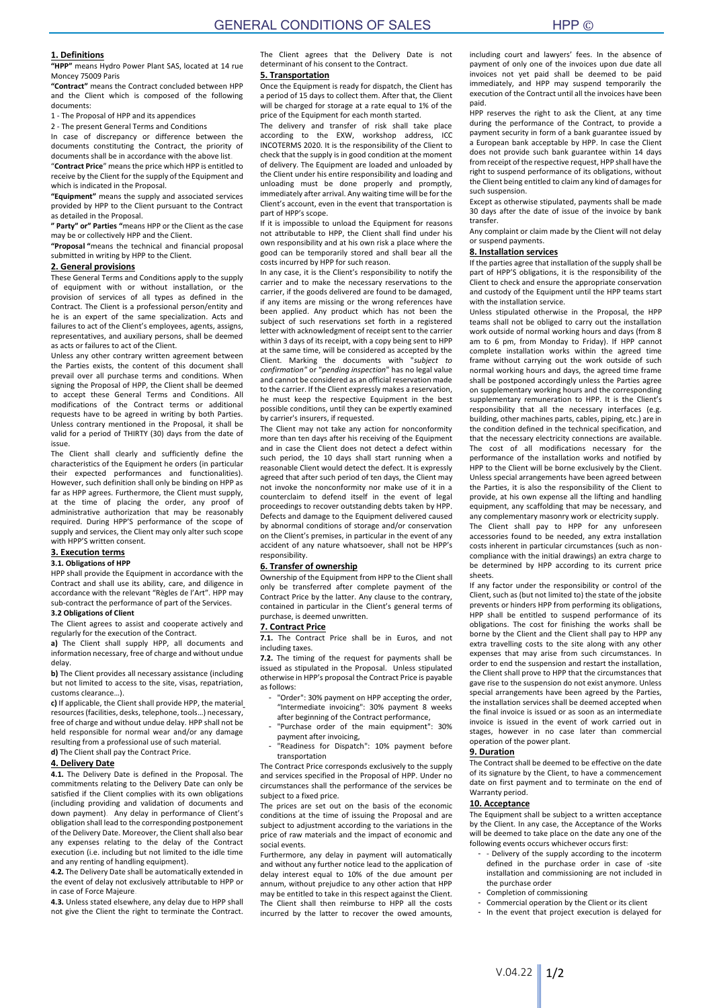# **1. Definitions**

**"HPP"** means Hydro Power Plant SAS, located at 14 rue Moncey 75009 Paris

**"Contract"** means the Contract concluded between HPP and the Client which is composed of the following documents:

1 - The Proposal of HPP and its appendices

2 - The present General Terms and Conditions

In case of discrepancy or difference between the documents constituting the Contract, the priority of documents shall be in accordance with the above list. "**Contract Price**" means the price which HPP is entitled to

receive by the Client for the supply of the Equipment and which is indicated in the Proposal.

**"Equipment"** means the supply and associated services provided by HPP to the Client pursuant to the Contract as detailed in the Proposal.

**" Party" or" Parties "**means HPP or the Client as the case may be or collectively HPP and the Client.

**"Proposal "**means the technical and financial proposal submitted in writing by HPP to the Client.

# **2. General provisions**

These General Terms and Conditions apply to the supply of equipment with or without installation, or the provision of services of all types as defined in the Contract. The Client is a professional person/entity and he is an expert of the same specialization. Acts and failures to act of the Client's employees, agents, assigns, representatives, and auxiliary persons, shall be deemed as acts or failures to act of the Client.

Unless any other contrary written agreement between the Parties exists, the content of this document shall prevail over all purchase terms and conditions. When signing the Proposal of HPP, the Client shall be deemed to accept these General Terms and Conditions. All modifications of the Contract terms or additional requests have to be agreed in writing by both Parties. Unless contrary mentioned in the Proposal, it shall be valid for a period of THIRTY (30) days from the date of issue.

The Client shall clearly and sufficiently define the characteristics of the Equipment he orders (in particular their expected performances and functionalities). However, such definition shall only be binding on HPP as far as HPP agrees. Furthermore, the Client must supply, at the time of placing the order, any proof of administrative authorization that may be reasonably required. During HPP'S performance of the scope of supply and services, the Client may only alter such scope with HPP'S written consent.

# **3. Execution terms**

# **3.1. Obligations of HPP**

HPP shall provide the Equipment in accordance with the Contract and shall use its ability, care, and diligence in accordance with the relevant "Règles de l'Art". HPP may sub-contract the performance of part of the Services. **3.2 Obligations of Client**

The Client agrees to assist and cooperate actively and

regularly for the execution of the Contract. **a)** The Client shall supply HPP, all documents and

information necessary, free of charge and without undue delay.

**b)** The Client provides all necessary assistance (including but not limited to access to the site, visas, repatriation, customs clearance…).

**c)** If applicable, the Client shall provide HPP, the material resources (facilities, desks, telephone, tools…) necessary, free of charge and without undue delay. HPP shall not be held responsible for normal wear and/or any damage resulting from a professional use of such material. **d)** The Client shall pay the Contract Price.

**4. Delivery Date**

**4.1.** The Delivery Date is defined in the Proposal. The commitments relating to the Delivery Date can only be satisfied if the Client complies with its own obligations (including providing and validation of documents and down payment). Any delay in performance of Client's obligation shall lead to the corresponding postponement of the Delivery Date. Moreover, the Client shall also bear any expenses relating to the delay of the Contract execution (i.e. including but not limited to the idle time and any renting of handling equipment).

**4.2.** The Delivery Date shall be automatically extended in the event of delay not exclusively attributable to HPP or in case of Force Majeure.

**4.3.** Unless stated elsewhere, any delay due to HPP shall not give the Client the right to terminate the Contract.

The Client agrees that the Delivery Date is not determinant of his consent to the Contract.

## **5. Transportation**

Once the Equipment is ready for dispatch, the Client has a period of 15 days to collect them. After that, the Client will be charged for storage at a rate equal to 1% of the price of the Equipment for each month started

The delivery and transfer of risk shall take place according to the EXW, workshop address, ICC INCOTERMS 2020. It is the responsibility of the Client to check that the supply is in good condition at the moment of delivery. The Equipment are loaded and unloaded by the Client under his entire responsibility and loading and unloading must be done properly and promptly, immediately after arrival. Any waiting time will be for the Client's account, even in the event that transportation is part of HPP's scope.

If it is impossible to unload the Equipment for reasons not attributable to HPP, the Client shall find under his own responsibility and at his own risk a place where the good can be temporarily stored and shall bear all the costs incurred by HPP for such reason.

In any case, it is the Client's responsibility to notify the carrier and to make the necessary reservations to the carrier, if the goods delivered are found to be damaged, if any items are missing or the wrong references have been applied. Any product which has not been the subject of such reservations set forth in a registered letter with acknowledgment of receipt sent to the carrier within 3 days of its receipt, with a copy being sent to HPP at the same time, will be considered as accepted by the Client. Marking the documents with "*subject to confirmation"* or "*pending inspection*" has no legal value and cannot be considered as an official reservation made to the carrier. If the Client expressly makes a reservation, he must keep the respective Equipment in the best possible conditions, until they can be expertly examined by carrier's insurers, if requested.

The Client may not take any action for nonconformity more than ten days after his receiving of the Equipment and in case the Client does not detect a defect within such period, the 10 days shall start running when a reasonable Client would detect the defect. It is expressly agreed that after such period of ten days, the Client may not invoke the nonconformity nor make use of it in a counterclaim to defend itself in the event of legal proceedings to recover outstanding debts taken by HPP. Defects and damage to the Equipment delivered caused by abnormal conditions of storage and/or conservation on the Client's premises, in particular in the event of any accident of any nature whatsoever, shall not be HPP's responsibility.

## **6. Transfer of ownership**

Ownership of the Equipment from HPP to the Client shall only be transferred after complete payment of the Contract Price by the latter. Any clause to the contrary, contained in particular in the Client's general terms of purchase, is deemed unwritten.

### **7. Contract Price**

**7.1.** The Contract Price shall be in Euros, and not including taxes.

**7.2.** The timing of the request for payments shall be issued as stipulated in the Proposal. Unless stipulated otherwise in HPP's proposal the Contract Price is payable as follows:

- "Order": 30% payment on HPP accepting the order "Intermediate invoicing": 30% payment 8 weeks after beginning of the Contract performance,
- "Purchase order of the main equipment": 30% payment after invoicing,
- .<br>"Readiness for Dispatch": 10% payment before transportation

The Contract Price corresponds exclusively to the supply and services specified in the Proposal of HPP. Under no circumstances shall the performance of the services be subject to a fixed price.

The prices are set out on the basis of the economic conditions at the time of issuing the Proposal and are subject to adjustment according to the variations in the price of raw materials and the impact of economic and social events.

Furthermore, any delay in payment will automatically and without any further notice lead to the application of delay interest equal to 10% of the due amount per annum, without prejudice to any other action that HPP may be entitled to take in this respect against the Client. The Client shall then reimburse to HPP all the costs incurred by the latter to recover the owed amounts,

including court and lawyers' fees. In the absence of payment of only one of the invoices upon due date all invoices not yet paid shall be deemed to be paid immediately, and HPP may suspend temporarily the execution of the Contract until all the invoices have been paid.

HPP reserves the right to ask the Client, at any time during the performance of the Contract, to provide a payment security in form of a bank guarantee issued by a European bank acceptable by HPP. In case the Client does not provide such bank guarantee within 14 days from receipt of the respective request, HPP shall have the right to suspend performance of its obligations, without the Client being entitled to claim any kind of damages for such suspension.

Except as otherwise stipulated, payments shall be made 30 days after the date of issue of the invoice by bank transfer.

Any complaint or claim made by the Client will not delay or suspend payments.

## **8. Installation services**

If the parties agree that installation of the supply shall be part of HPP'S obligations, it is the responsibility of the Client to check and ensure the appropriate conservation and custody of the Equipment until the HPP teams start with the installation service.

Unless stipulated otherwise in the Proposal, the HPP teams shall not be obliged to carry out the installation work outside of normal working hours and days (from 8 am to 6 pm, from Monday to Friday). If HPP cannot complete installation works within the agreed time frame without carrying out the work outside of such normal working hours and days, the agreed time frame shall be postponed accordingly unless the Parties agree on supplementary working hours and the corresponding supplementary remuneration to HPP. It is the Client's responsibility that all the necessary interfaces (e.g. building, other machines parts, cables, piping, etc.) are in the condition defined in the technical specification, and that the necessary electricity connections are available. The cost of all modifications necessary for the performance of the installation works and notified by HPP to the Client will be borne exclusively by the Client. Unless special arrangements have been agreed between the Parties, it is also the responsibility of the Client to provide, at his own expense all the lifting and handling equipment, any scaffolding that may be necessary, and any complementary masonry work or electricity supply.

The Client shall pay to HPP for any unforeseen accessories found to be needed, any extra installation costs inherent in particular circumstances (such as noncompliance with the initial drawings) an extra charge to be determined by HPP according to its current price sheets.

If any factor under the responsibility or control of the Client, such as (but not limited to) the state of the jobsite prevents or hinders HPP from performing its obligations, HPP shall be entitled to suspend performance of its obligations. The cost for finishing the works shall be borne by the Client and the Client shall pay to HPP any extra travelling costs to the site along with any other expenses that may arise from such circumstances. In order to end the suspension and restart the installation, the Client shall prove to HPP that the circumstances that gave rise to the suspension do not exist anymore. Unless special arrangements have been agreed by the Parties, the installation services shall be deemed accepted when the final invoice is issued or as soon as an intermediate invoice is issued in the event of work carried out in stages, however in no case later than commercial operation of the power plant.

#### **9. Duration**

The Contract shall be deemed to be effective on the date of its signature by the Client, to have a commencement date on first payment and to terminate on the end of Warranty period.

## **10. Acceptance**

The Equipment shall be subject to a written acceptance by the Client. In any case, the Acceptance of the Works will be deemed to take place on the date any one of the following events occurs whichever occurs first:

- Delivery of the supply according to the incoterm defined in the purchase order in case of -site installation and commissioning are not included in the purchase order
- Completion of commissioning
- Commercial operation by the Client or its client - In the event that project execution is delayed for